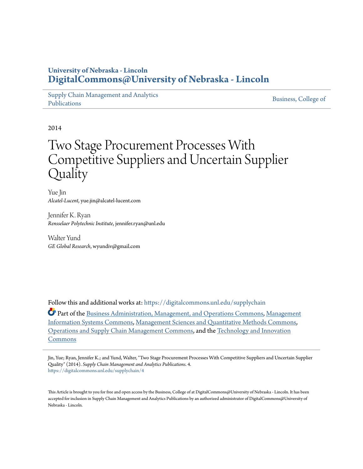# **University of Nebraska - Lincoln [DigitalCommons@University of Nebraska - Lincoln](https://digitalcommons.unl.edu/?utm_source=digitalcommons.unl.edu%2Fsupplychain%2F4&utm_medium=PDF&utm_campaign=PDFCoverPages)**

[Supply Chain Management and Analytics](https://digitalcommons.unl.edu/supplychain?utm_source=digitalcommons.unl.edu%2Fsupplychain%2F4&utm_medium=PDF&utm_campaign=PDFCoverPages) [Publications](https://digitalcommons.unl.edu/supplychain?utm_source=digitalcommons.unl.edu%2Fsupplychain%2F4&utm_medium=PDF&utm_campaign=PDFCoverPages)

[Business, College of](https://digitalcommons.unl.edu/business?utm_source=digitalcommons.unl.edu%2Fsupplychain%2F4&utm_medium=PDF&utm_campaign=PDFCoverPages)

2014

# Two Stage Procurement Processes With Competitive Suppliers and Uncertain Supplier Quality

Yue Jin *Alcatel-Lucent*, yue.jin@alcatel-lucent.com

Jennifer K. Ryan *Rensselaer Polytechnic Institute*, jennifer.ryan@unl.edu

Walter Yund *GE Global Research*, wyundiv@gmail.com

Follow this and additional works at: [https://digitalcommons.unl.edu/supplychain](https://digitalcommons.unl.edu/supplychain?utm_source=digitalcommons.unl.edu%2Fsupplychain%2F4&utm_medium=PDF&utm_campaign=PDFCoverPages)

Part of the [Business Administration, Management, and Operations Commons](http://network.bepress.com/hgg/discipline/623?utm_source=digitalcommons.unl.edu%2Fsupplychain%2F4&utm_medium=PDF&utm_campaign=PDFCoverPages), [Management](http://network.bepress.com/hgg/discipline/636?utm_source=digitalcommons.unl.edu%2Fsupplychain%2F4&utm_medium=PDF&utm_campaign=PDFCoverPages) [Information Systems Commons](http://network.bepress.com/hgg/discipline/636?utm_source=digitalcommons.unl.edu%2Fsupplychain%2F4&utm_medium=PDF&utm_campaign=PDFCoverPages), [Management Sciences and Quantitative Methods Commons,](http://network.bepress.com/hgg/discipline/637?utm_source=digitalcommons.unl.edu%2Fsupplychain%2F4&utm_medium=PDF&utm_campaign=PDFCoverPages) [Operations and Supply Chain Management Commons,](http://network.bepress.com/hgg/discipline/1229?utm_source=digitalcommons.unl.edu%2Fsupplychain%2F4&utm_medium=PDF&utm_campaign=PDFCoverPages) and the [Technology and Innovation](http://network.bepress.com/hgg/discipline/644?utm_source=digitalcommons.unl.edu%2Fsupplychain%2F4&utm_medium=PDF&utm_campaign=PDFCoverPages) [Commons](http://network.bepress.com/hgg/discipline/644?utm_source=digitalcommons.unl.edu%2Fsupplychain%2F4&utm_medium=PDF&utm_campaign=PDFCoverPages)

Jin, Yue; Ryan, Jennifer K.; and Yund, Walter, "Two Stage Procurement Processes With Competitive Suppliers and Uncertain Supplier Quality" (2014). *Supply Chain Management and Analytics Publications*. 4. [https://digitalcommons.unl.edu/supplychain/4](https://digitalcommons.unl.edu/supplychain/4?utm_source=digitalcommons.unl.edu%2Fsupplychain%2F4&utm_medium=PDF&utm_campaign=PDFCoverPages)

This Article is brought to you for free and open access by the Business, College of at DigitalCommons@University of Nebraska - Lincoln. It has been accepted for inclusion in Supply Chain Management and Analytics Publications by an authorized administrator of DigitalCommons@University of Nebraska - Lincoln.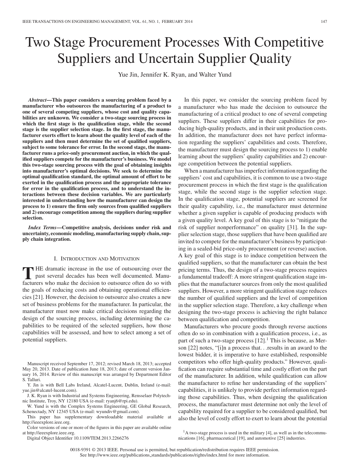# Two Stage Procurement Processes With Competitive Suppliers and Uncertain Supplier Quality

Yue Jin, Jennifer K. Ryan, and Walter Yund

*Abstract***—This paper considers a sourcing problem faced by a manufacturer who outsources the manufacturing of a product to one of several competing suppliers, whose cost and quality capabilities are unknown. We consider a two-stage sourcing process in which the first stage is the qualification stage, while the second stage is the supplier selection stage. In the first stage, the manufacturer exerts effort to learn about the quality level of each of the suppliers and then must determine the set of qualified suppliers, subject to some tolerance for error. In the second stage, the manufacturer runs a price-only procurement auction, in which the qualified suppliers compete for the manufacturer's business. We model this two-stage sourcing process with the goal of obtaining insights into manufacturer's optimal decisions. We seek to determine the optimal qualification standard, the optimal amount of effort to be exerted in the qualification process and the appropriate tolerance for error in the qualification process, and to understand the interactions between these decision variables. We are particularly interested in understanding how the manufacturer can design the process to 1) ensure the firm only sources from qualified suppliers and 2) encourage competition among the suppliers during supplier selection.**

*Index Terms***—Competitive analysis, decisions under risk and uncertainty, economic modeling, manufacturing supply chain, supply chain integration.**

#### I. INTRODUCTION AND MOTIVATION

**T** HE dramatic increase in the use of outsourcing over the past several decades has been well documented. Manu-<br>fecturers who make the decision to outsource often do so with facturers who make the decision to outsource often do so with the goals of reducing costs and obtaining operational efficiencies [21]. However, the decision to outsource also creates a new set of business problems for the manufacturer. In particular, the manufacturer must now make critical decisions regarding the design of the sourcing process, including determining the capabilities to be required of the selected suppliers, how those capabilities will be assessed, and how to select among a set of potential suppliers.

J. K. Ryan is with Industrial and Systems Engineering, Rensselaer Polytechnic Institute, Troy, NY 12180 USA (e-mail: ryanj6@rpi.edu).

W. Yund is with the Complex Systems Engineering, GE Global Research, Schenectady, NY 12345 USA (e-mail: wyundiv@gmail.com).

This paper has supplementary downloadable material available at http://ieeexplore.ieee.org.

Color versions of one or more of the figures in this paper are available online at http://ieeexplore.ieee.org.

Digital Object Identifier 10.1109/TEM.2013.2266276

In this paper, we consider the sourcing problem faced by a manufacturer who has made the decision to outsource the manufacturing of a critical product to one of several competing suppliers. These suppliers differ in their capabilities for producing high-quality products, and in their unit production costs. In addition, the manufacturer does not have perfect information regarding the suppliers' capabilities and costs. Therefore, the manufacturer must design the sourcing process to 1) enable learning about the suppliers' quality capabilities and 2) encourage competition between the potential suppliers.

When a manufacturer has imperfect information regarding the suppliers' cost and capabilities, it is common to use a two-stage procurement process in which the first stage is the qualification stage, while the second stage is the supplier selection stage. In the qualification stage, potential suppliers are screened for their quality capability, i.e., the manufacturer must determine whether a given supplier is capable of producing products with a given quality level. A key goal of this stage is to "mitigate the risk of supplier nonperformance" on quality [31]. In the supplier selection stage, those suppliers that have been qualified are invited to compete for the manufacturer's business by participating in a sealed-bid price-only procurement (or reverse) auction. A key goal of this stage is to induce competition between the qualified suppliers, so that the manufacturer can obtain the best pricing terms. Thus, the design of a two-stage process requires a fundamental tradeoff: A more stringent qualification stage implies that the manufacturer sources from only the most qualified suppliers. However, a more stringent qualification stage reduces the number of qualified suppliers and the level of competition in the supplier selection stage. Therefore, a key challenge when designing the two-stage process is achieving the right balance between qualification and competition.

Manufacturers who procure goods through reverse auctions often do so in combination with a qualification process, i.e., as part of such a two-stage process  $[12]$ .<sup>1</sup> This is because, as Merson [22] notes, "[i]n a process that... results in an award to the lowest bidder, it is imperative to have established, responsible competitors who offer high-quality products." However, qualification can require substantial time and costly effort on the part of the manufacturer. In addition, while qualification can allow the manufacturer to refine her understanding of the suppliers' capabilities, it is unlikely to provide perfect information regarding those capabilities. Thus, when designing the qualification process, the manufacturer must determine not only the level of capability required for a supplier to be considered qualified, but also the level of costly effort to exert to learn about the potential

Manuscript received September 17, 2012; revised March 18, 2013; accepted May 20, 2013. Date of publication June 18, 2013; date of current version January 16, 2014. Review of this manuscript was arranged by Department Editor S. Talluri.

Y. Jin is with Bell Labs Ireland, Alcatel-Lucent, Dublin, Ireland (e-mail: yue.jin@alcatel-lucent.com).

 $1A$  two-stage process is used in the military [4], as well as in the telecommunications [16], pharmaceutical [19], and automotive [25] industries.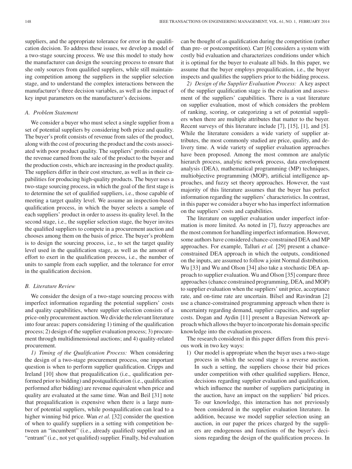suppliers, and the appropriate tolerance for error in the qualification decision. To address these issues, we develop a model of a two-stage sourcing process. We use this model to study how the manufacturer can design the sourcing process to ensure that she only sources from qualified suppliers, while still maintaining competition among the suppliers in the supplier selection stage, and to understand the complex interactions between the manufacturer's three decision variables, as well as the impact of key input parameters on the manufacturer's decisions.

### *A. Problem Statement*

We consider a buyer who must select a single supplier from a set of potential suppliers by considering both price and quality. The buyer's profit consists of revenue from sales of the product, along with the cost of procuring the product and the costs associated with poor product quality. The suppliers' profits consist of the revenue earned from the sale of the product to the buyer and the production costs, which are increasing in the product quality. The suppliers differ in their cost structure, as well as in their capabilities for producing high-quality products. The buyer uses a two-stage sourcing process, in which the goal of the first stage is to determine the set of qualified suppliers, i.e., those capable of meeting a target quality level. We assume an inspection-based qualification process, in which the buyer selects a sample of each suppliers' product in order to assess its quality level. In the second stage, i.e., the supplier selection stage, the buyer invites the qualified suppliers to compete in a procurement auction and chooses among them on the basis of price. The buyer's problem is to design the sourcing process, i.e., to set the target quality level used in the qualification stage, as well as the amount of effort to exert in the qualification process, i.e., the number of units to sample from each supplier, and the tolerance for error in the qualification decision.

# *B. Literature Review*

We consider the design of a two-stage sourcing process with imperfect information regarding the potential suppliers' costs and quality capabilities, where supplier selection consists of a price-only procurement auction. We divide the relevant literature into four areas: papers considering 1) timing of the qualification process; 2) design of the supplier evaluation process; 3) procurement through multidimensional auctions; and 4) quality-related procurement.

*1) Timing of the Qualification Process:* When considering the design of a two-stage procurement process, one important question is when to perform supplier qualification. Cripps and Ireland [10] show that prequalification (i.e., qualification performed prior to bidding) and postqualification (i.e., qualification performed after bidding) are revenue equivalent when price and quality are evaluated at the same time. Wan and Beil [31] note that prequalification is expensive when there is a large number of potential suppliers, while postqualification can lead to a higher winning bid price. Wan *et al.* [32] consider the question of when to qualify suppliers in a setting with competition between an "incumbent" (i.e., already qualified) supplier and an "entrant" (i.e., not yet qualified) supplier. Finally, bid evaluation

can be thought of as qualification during the competition (rather than pre- or postcompetition). Carr [6] considers a system with costly bid evaluation and characterizes conditions under which it is optimal for the buyer to evaluate all bids. In this paper, we assume that the buyer employs prequalification, i.e., the buyer inspects and qualifies the suppliers prior to the bidding process.

*2) Design of the Supplier Evaluation Process:* A key aspect of the supplier qualification stage is the evaluation and assessment of the suppliers' capabilities. There is a vast literature on supplier evaluation, most of which considers the problem of ranking, scoring, or categorizing a set of potential suppliers when there are multiple attributes that matter to the buyer. Recent surveys of this literature include [7], [15], [1], and [5]. While the literature considers a wide variety of supplier attributes, the most commonly studied are price, quality, and delivery time. A wide variety of supplier evaluation approaches have been proposed. Among the most common are analytic hierarch process, analytic network process, data envelopment analysis (DEA), mathematical programming (MP) techniques, multiobjective programming (MOP), artificial intelligence approaches, and fuzzy set theory approaches. However, the vast majority of this literature assumes that the buyer has perfect information regarding the suppliers' characteristics. In contrast, in this paper we consider a buyer who has imperfect information on the suppliers' costs and capabilities.

The literature on supplier evaluation under imperfect information is more limited. As noted in [7], fuzzy approaches are the most common for handling imperfect information. However, some authors have considered chance-constrained DEA and MP approaches. For example, Talluri *et al.* [29] present a chanceconstrained DEA approach in which the outputs, conditioned on the inputs, are assumed to follow a joint Normal distribution. Wu [33] and Wu and Olson [34] also take a stochastic DEA approach to supplier evaluation. Wu and Olson [35] compare three approaches (chance constrained programming, DEA, and MOP) to supplier evaluation when the suppliers' unit price, acceptance rate, and on-time rate are uncertain. Bilsel and Ravindran [2] use a chance-constrained programming approach when there is uncertainty regarding demand, supplier capacities, and supplier costs. Dogan and Aydin [11] present a Bayesian Network approach which allows the buyer to incorporate his domain specific knowledge into the evaluation process.

The research considered in this paper differs from this previous work in two key ways:

1) Our model is appropriate when the buyer uses a two-stage process in which the second stage is a reverse auction. In such a setting, the suppliers choose their bid prices under competition with other qualified suppliers. Hence, decisions regarding supplier evaluation and qualification, which influence the number of suppliers participating in the auction, have an impact on the suppliers' bid prices. To our knowledge, this interaction has not previously been considered in the supplier evaluation literature. In addition, because we model supplier selection using an auction, in our paper the prices charged by the suppliers are endogenous and functions of the buyer's decisions regarding the design of the qualification process. In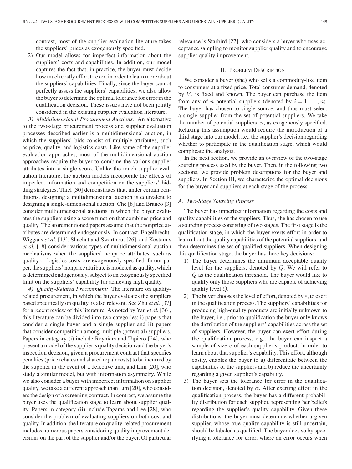contrast, most of the supplier evaluation literature takes the suppliers' prices as exogenously specified.

2) Our model allows for imperfect information about the suppliers' costs and capabilities. In addition, our model captures the fact that, in practice, the buyer must decide how much costly effort to exert in order to learn more about the suppliers' capabilities. Finally, since the buyer cannot perfectly assess the suppliers' capabilities, we also allow the buyer to determine the optimal tolerance for error in the qualification decision. These issues have not been jointly considered in the existing supplier evaluation literature.

*3) Multidimensional Procurement Auctions:* An alternative to the two-stage procurement process and supplier evaluation processes described earlier is a multidimensional auction, in which the suppliers' bids consist of multiple attributes, such as price, quality, and logistics costs. Like some of the supplier evaluation approaches, most of the multidimensional auction approaches require the buyer to combine the various supplier attributes into a single score. Unlike the much supplier evaluation literature, the auction models incorporate the effects of imperfect information and competition on the suppliers' bidding strategies. Thiel [30] demonstrates that, under certain conditions, designing a multidimensional auction is equivalent to designing a single-dimensional auction. Che [8] and Branco [3] consider multidimensional auctions in which the buyer evaluates the suppliers using a score function that combines price and quality. The aforementioned papers assume that the nonprice attributes are determined endogenously. In contrast, Engelbrecht-Wiggans *et al.* [13], Shachat and Swarthout [26], and Kostamis *et al.* [18] consider various types of multidimensional auction mechanisms when the suppliers' nonprice attributes, such as quality or logistics costs, are exogenously specified. In our paper, the suppliers' nonprice attribute is modeled as quality, which is determined endogenously, subject to an exogenously specified limit on the suppliers' capability for achieving high quality.

*4) Quality-Related Procurement:* The literature on qualityrelated procurement, in which the buyer evaluates the suppliers based specifically on quality, is also relevant. See Zhu *et al.* [37] for a recent review of this literature. As noted by Yan *et al.* [36], this literature can be divided into two categories: i) papers that consider a single buyer and a single supplier and ii) papers that consider competition among multiple (potential) suppliers. Papers in category (i) include Reyniers and Tapiero [24], who present a model of the supplier's quality decision and the buyer's inspection decision, given a procurement contract that specifies penalties (price rebates and shared repair costs) to be incurred by the supplier in the event of a defective unit, and Lim [20], who study a similar model, but with information asymmetry. While we also consider a buyer with imperfect information on supplier quality, we take a different approach than Lim [20], who considers the design of a screening contract. In contrast, we assume the buyer uses the qualification stage to learn about supplier quality. Papers in category (ii) include Tagaras and Lee [28], who consider the problem of evaluating suppliers on both cost and quality. In addition, the literature on quality-related procurement includes numerous papers considering quality improvement decisions on the part of the supplier and/or the buyer. Of particular

relevance is Starbird [27], who considers a buyer who uses acceptance sampling to monitor supplier quality and to encourage supplier quality improvement.

#### II. PROBLEM DESCRIPTION

We consider a buyer (she) who sells a commodity-like item to consumers at a fixed price. Total consumer demand, denoted by  $V$ , is fixed and known. The buyer can purchase the item from any of *n* potential suppliers (denoted by  $i = 1, \ldots, n$ ). The buyer has chosen to single source, and thus must select a single supplier from the set of potential suppliers. We take the number of potential suppliers,  $n$ , as exogenously specified. Relaxing this assumption would require the introduction of a third stage into our model, i.e., the supplier's decision regarding whether to participate in the qualification stage, which would complicate the analysis.

In the next section, we provide an overview of the two-stage sourcing process used by the buyer. Then, in the following two sections, we provide problem descriptions for the buyer and suppliers. In Section III, we characterize the optimal decisions for the buyer and suppliers at each stage of the process.

### *A. Two-Stage Sourcing Process*

The buyer has imperfect information regarding the costs and quality capabilities of the suppliers. Thus, she has chosen to use a sourcing process consisting of two stages. The first stage is the qualification stage, in which the buyer exerts effort in order to learn about the quality capabilities of the potential suppliers, and then determines the set of qualified suppliers. When designing this qualification stage, the buyer has three key decisions:

- 1) The buyer determines the minimum acceptable quality level for the suppliers, denoted by Q. We will refer to Q as the qualification threshold. The buyer would like to qualify only those suppliers who are capable of achieving quality level Q.
- 2) The buyer chooses the level of effort, denoted by  $e$ , to exert in the qualification process. The suppliers' capabilities for producing high-quality products are initially unknown to the buyer, i.e., prior to qualification the buyer only knows the distribution of the suppliers' capabilities across the set of suppliers. However, the buyer can exert effort during the qualification process, e.g., the buyer can inspect a sample of size  $e$  of each supplier's product, in order to learn about that supplier's capability. This effort, although costly, enables the buyer to a) differentiate between the capabilities of the suppliers and b) reduce the uncertainty regarding a given supplier's capability.
- 3) The buyer sets the tolerance for error in the qualification decision, denoted by  $\alpha$ . After exerting effort in the qualification process, the buyer has a different probability distribution for each supplier, representing her beliefs regarding the supplier's quality capability. Given these distributions, the buyer must determine whether a given supplier, whose true quality capability is still uncertain, should be labeled as qualified. The buyer does so by specifying a tolerance for error, where an error occurs when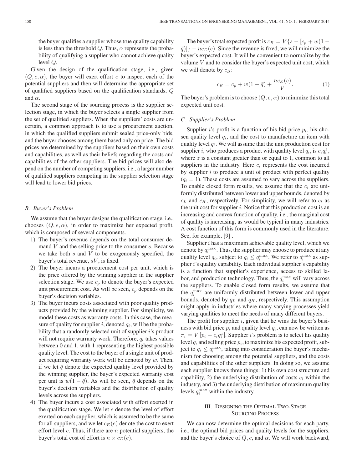the buyer qualifies a supplier whose true quality capability is less than the threshold  $Q$ . Thus,  $\alpha$  represents the probability of qualifying a supplier who cannot achieve quality level Q.

Given the design of the qualification stage, i.e., given  $(Q, e, \alpha)$ , the buyer will exert effort e to inspect each of the potential suppliers and then will determine the appropriate set of qualified suppliers based on the qualification standards, Q and  $\alpha$ .

The second stage of the sourcing process is the supplier selection stage, in which the buyer selects a single supplier from the set of qualified suppliers. When the suppliers' costs are uncertain, a common approach is to use a procurement auction, in which the qualified suppliers submit sealed price-only bids, and the buyer chooses among them based only on price. The bid prices are determined by the suppliers based on their own costs and capabilities, as well as their beliefs regarding the costs and capabilities of the other suppliers. The bid prices will also depend on the number of competing suppliers, i.e., a larger number of qualified suppliers competing in the supplier selection stage will lead to lower bid prices.

# *B. Buyer's Problem*

We assume that the buyer designs the qualification stage, i.e., chooses  $(Q, e, \alpha)$ , in order to maximize her expected profit, which is composed of several components.

- 1) The buyer's revenue depends on the total consumer demand  $V$  and the selling price to the consumer  $s$ . Because we take both  $s$  and  $V$  to be exogenously specified, the buyer's total revenue,  $sV$ , is fixed.
- 2) The buyer incurs a procurement cost per unit, which is the price offered by the winning supplier in the supplier selection stage. We use  $c_p$  to denote the buyer's expected unit procurement cost. As will be seen,  $c_p$  depends on the buyer's decision variables.
- 3) The buyer incurs costs associated with poor quality products provided by the winning supplier. For simplicity, we model these costs as warranty costs. In this case, the measure of quality for supplier i, denoted  $q_i$ , will be the probability that a randomly selected unit of supplier  $i$ 's product will not require warranty work. Therefore,  $q_i$  takes values between 0 and 1, with 1 representing the highest possible quality level. The cost to the buyer of a single unit of product requiring warranty work will be denoted by  $w$ . Then, if we let  $\bar{q}$  denote the expected quality level provided by the winning supplier, the buyer's expected warranty cost per unit is  $w(1 - \bar{q})$ . As will be seen,  $\bar{q}$  depends on the buyer's decision variables and the distribution of quality levels across the suppliers.
- 4) The buyer incurs a cost associated with effort exerted in the qualification stage. We let  $e$  denote the level of effort exerted on each supplier, which is assumed to be the same for all suppliers, and we let  $c_E(e)$  denote the cost to exert effort level  $e$ . Thus, if there are  $n$  potential suppliers, the buyer's total cost of effort is  $n \times c_E(e)$ .

The buyer's total expected profit is  $\pi_B = V\{s - [c_p + w(1 \{\overline{q}\}$ } –  $nc_E(e)$ . Since the revenue is fixed, we will minimize the buyer's expected cost. It will be convenient to normalize by the volume V and to consider the buyer's expected unit cost, which we will denote by  $c_B$ :

$$
c_B = c_p + w(1 - \bar{q}) + \frac{nc_E(e)}{V}.
$$
 (1)

The buyer's problem is to choose  $(Q, e, \alpha)$  to minimize this total expected unit cost.

#### *C. Supplier's Problem*

Supplier *i*'s profit is a function of his bid price  $p_i$ , his chosen quality level  $q_i$ , and the cost to manufacture an item with quality level  $q_i$ . We will assume that the unit production cost for supplier *i*, who produces a product with quality level  $q_i$ , is  $c_i q_i^z$ , where  $z$  is a constant greater than or equal to 1, common to all suppliers in the industry. Here  $c_i$  represents the cost incurred by supplier  $i$  to produce a unit of product with perfect quality  $(q<sub>i</sub> = 1)$ . These costs are assumed to vary across the suppliers. To enable closed form results, we assume that the  $c_i$  are uniformly distributed between lower and upper bounds, denoted by  $c<sub>L</sub>$  and  $c<sub>H</sub>$ , respectively. For simplicity, we will refer to  $c<sub>i</sub>$  as the unit cost for supplier  $i$ . Notice that this production cost is an increasing and convex function of quality, i.e., the marginal cost of quality is increasing, as would be typical in many industries. A cost function of this form is commonly used in the literature. See, for example, [9] .

Supplier  $i$  has a maximum achievable quality level, which we denote by  $q_i^{\max}$ . Thus, the supplier may choose to produce at any quality level  $q_i$ , subject to  $q_i \le q_i^{\max}$ . We refer to  $q_i^{\max}$  as supplier i's quality capability. Each individual supplier's capability is a function that supplier's experience, access to skilled labor, and production technology. Thus, the  $q_i^{\max}$  will vary across the suppliers. To enable closed form results, we assume that the  $q_i^{\max}$  are uniformly distributed between lower and upper bounds, denoted by  $q_L$  and  $q_H$ , respectively. This assumption might apply in industries where many varying processes yield varying qualities to meet the needs of many different buyers.

The profit for supplier  $i$ , given that he wins the buyer's business with bid price  $p_i$  and quality level  $q_i$ , can now be written as  $\pi_i = V[p_i - c_i q_i^z]$ . Supplier *i*'s problem is to select his quality level  $q_i$  and selling price  $p_i$ , to maximize his expected profit, subject to  $q_i \le q_i^{\max}$ , taking into consideration the buyer's mechanism for choosing among the potential suppliers, and the costs and capabilities of the other suppliers. In doing so, we assume each supplier knows three things: 1) his own cost structure and capability, 2) the underlying distribution of costs  $c_i$  within the industry, and 3) the underlying distribution of maximum quality levels  $q_i^{\max}$  within the industry.

# III. DESIGNING THE OPTIMAL TWO-STAGE SOURCING PROCESS

We can now determine the optimal decisions for each party, i.e., the optimal bid prices and quality levels for the suppliers, and the buyer's choice of  $Q, e$ , and  $\alpha$ . We will work backward,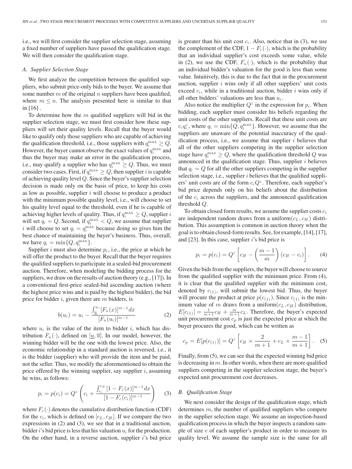i.e., we will first consider the supplier selection stage, assuming a fixed number of suppliers have passed the qualification stage. We will then consider the qualification stage.

### *A. Supplier Selection Stage*

We first analyze the competition between the qualified suppliers, who submit price-only bids to the buyer. We assume that some number  $m$  of the original  $n$  suppliers have been qualified, where  $m \leq n$ . The analysis presented here is similar to that in [16] .

To determine how the  $m$  qualified suppliers will bid in the supplier selection stage, we must first consider how these suppliers will set their quality levels. Recall that the buyer would like to qualify only those suppliers who are capable of achieving the qualification threshold, i.e., those suppliers with  $q_i^{\max} \geq Q$ . However, the buyer cannot observe the exact values of  $q_i^{\max}$  and thus the buyer may make an error in the qualification process, i.e., may qualify a supplier who has  $q_i^{\max} \ge Q$ . Thus, we must consider two cases. First, if  $q_i^{\max} \geq Q$ , then supplier i is capable of achieving quality level  $Q$ . Since the buyer's supplier selection decision is made only on the basis of price, to keep his costs as low as possible, supplier  $i$  will choose to produce a product with the minimum possible quality level, *i.e.*, will choose to set his quality level equal to the threshold, even if he is capable of achieving higher levels of quality. Thus, if  $q_i^{\max} \geq Q$ , supplier i will set  $q_i = Q$ . Second, if  $q_i^{\max} < Q$ , we assume that supplier i will choose to set  $q_i = q_i^{\max}$  because doing so gives him the best chance of maintaining the buyer's business. Thus, overall, we have  $q_i = \min\{Q, q_i^{\max}\}.$ 

Supplier *i* must also determine  $p_i$ , i.e., the price at which he will offer the product to the buyer. Recall that the buyer requires the qualified suppliers to participate in a sealed-bid procurement auction. Therefore, when modeling the bidding process for the suppliers, we draw on the results of auction theory (e.g., [17]). In a conventional first-price sealed-bid ascending auction (where the highest price wins and is paid by the highest bidder), the bid price for bidder  $i$ , given there are  $m$  bidders, is

$$
b(u_i) = u_i - \frac{\int_{\underline{u}}^{u_i} [F_u(x)]^{m-1} dx}{[F_u(u_i)]^{m-1}}
$$
 (2)

where  $u_i$  is the value of the item to bidder i, which has distribution  $F_u(\cdot)$ , defined on  $[u, \overline{u}]$ . In our model, however, the winning bidder will be the one with the lowest price. Also, the economic relationship in a standard auction is reversed, i.e., it is the bidder (supplier) who will provide the item and be paid, not the seller. Thus, we modify the aforementioned to obtain the price offered by the winning supplier, say supplier  $i$ , assuming he wins, as follows:

$$
p_i = p(c_i) = Q^z \left( c_i + \frac{\int_{c_i}^{c_H} [1 - F_c(x)]^{m-1} dx}{[1 - F_c(c_i)]^{m-1}} \right)
$$
 (3)

where  $F_c(\cdot)$  denotes the cumulative distribution function (CDF) for the  $c_i$ , which is defined on  $[c_L, c_H]$ . If we compare the two expressions in (2) and (3), we see that in a traditional auction, bidder i's bid price is less that his valuation  $u_i$  for the production. On the other hand, in a reverse auction, supplier  $i$ 's bid price is greater than his unit cost  $c_i$ . Also, notice that in (3), we use the complement of the CDF,  $1 - F_c(\cdot)$ , which is the probability that an individual supplier's cost exceeds some value, while in (2), we use the CDF,  $F_u(\cdot)$ , which is the probability that an individual bidder's valuation for the good is less than some value. Intuitively, this is due to the fact that in the procurement auction, supplier  $i$  wins only if all other suppliers' unit costs exceed  $c_i$ , while in a traditional auction, bidder i wins only if all other bidders' valuations are less than  $u_i$ .

Also notice the multiplier  $Q^z$  in the expression for  $p_i$ . When bidding, each supplier must consider his beliefs regarding the unit costs of the other suppliers. Recall that these unit costs are  $c_i q_i^z$ , where  $q_i = \min\{Q, q_i^{\max}\}\$ . However, we assume that the suppliers are unaware of the potential inaccuracy of the qualification process, i.e., we assume that supplier  $i$  believes that all of the other suppliers competing in the supplier selection stage have  $q_i^{\max} \geq Q$ , where the qualification threshold Q was announced in the qualification stage. Thus, supplier  $i$  believes that  $q_i = Q$  for all the other suppliers competing in the supplier selection stage, i.e., supplier  $i$  believes that the qualified suppliers' unit costs are of the form  $c_iQ^z$ . Therefore, each supplier's bid price depends only on his beliefs about the distribution of the  $c_i$  across the suppliers, and the announced qualification threshold Q.

To obtain closed form results, we assume the supplier costs  $c_i$ are independent random draws from a uniform $(c<sub>L</sub>, c<sub>H</sub>)$  distribution. This assumption is common in auction theory when the goal is to obtain closed-form results. See, for example, [14], [17], and [23]. In this case, supplier  $i$ 's bid price is

$$
p_i = p(c_i) = Q^z \left[ c_H - \left( \frac{m-1}{m} \right) (c_H - c_i) \right]. \tag{4}
$$

Given the bids from the suppliers, the buyer will choose to source from the qualified supplier with the minimum price. From (4), it is clear that the qualified supplier with the minimum cost, denoted by  $c_{(1)}$ , will submit the lowest bid. Thus, the buyer will procure the product at price  $p(c_{(1)})$ . Since  $c_{(1)}$  is the minimum value of m draws from a uniform $(c<sub>L</sub>, c<sub>H</sub>)$  distribution,  $E[c_{(1)}] = \frac{1}{m+1}c_H + \frac{m}{m+1}c_L$ . Therefore, the buyer's expected unit procurement cost  $c_p$  is just the expected price at which the buyer procures the good, which can be written as

$$
c_p = E[p(c_{(1)})] = Q^z \left[ c_H \times \frac{2}{m+1} + c_L \times \frac{m-1}{m+1} \right].
$$
 (5)

Finally, from (5), we can see that the expected winning bid price is decreasing in  $m$ . In other words, when there are more qualified suppliers competing in the supplier selection stage, the buyer's expected unit procurement cost decreases.

# *B. Qualification Stage*

We next consider the design of the qualification stage, which determines  $m$ , the number of qualified suppliers who compete in the supplier selection stage. We assume an inspection-based qualification process in which the buyer inspects a random sample of size e of each supplier's product in order to measure its quality level. We assume the sample size is the same for all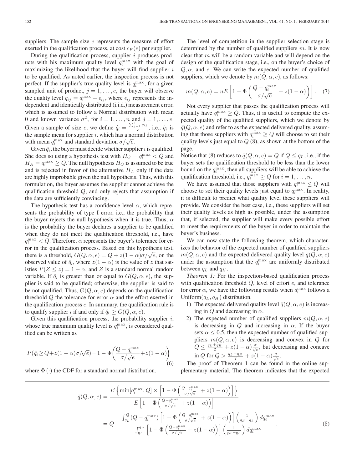suppliers. The sample size  $e$  represents the measure of effort exerted in the qualification process, at cost  $c_E(e)$  per supplier.

During the qualification process, supplier  $i$  produces products with his maximum quality level  $q_i^{\max}$  with the goal of maximizing the likelihood that the buyer will find supplier  $i$ to be qualified. As noted earlier, the inspection process is not perfect. If the supplier's true quality level is  $q_i^{\text{max}}$ , for a given sampled unit of product,  $j = 1, \ldots, e$ , the buyer will observe the quality level  $q_{ij} = q_i^{\max} + \epsilon_{ij}$ , where  $\epsilon_{ij}$  represents the independent and identically distributed (i.i.d.) measurement error, which is assumed to follow a Normal distribution with mean 0 and known variance  $\sigma^2$ , for  $i = 1, \ldots, n$  and  $j = 1, \ldots, e$ . Given a sample of size e, we define  $\hat{q}_i = \frac{\sum_{j=1}^e q_{ij}}{e}$ , i.e.,  $\hat{q}_i$  is the sample mean for supplier  $i$ , which has a normal distribution inc sample mean for supplier *i*, which has a not<br>with mean  $q_i^{\max}$  and standard deviation  $\sigma/\sqrt{e}$ .

Given  $\hat{q}_i$ , the buyer must decide whether supplier i is qualified. She does so using a hypothesis test with  $H_O = q_i^{\max} < Q$  and  $H_A = q_i^{\text{max}} \ge Q$ . The null hypothesis  $H_O$  is assumed to be true and is rejected in favor of the alternative  $H_A$  only if the data are highly improbable given the null hypothesis. Thus, with this formulation, the buyer assumes the supplier cannot achieve the qualification threshold Q, and only rejects that assumption if the data are sufficiently convincing.

The hypothesis test has a confidence level  $\alpha$ , which represents the probability of type I error, i.e., the probability that the buyer rejects the null hypothesis when it is true. Thus,  $\alpha$ is the probability the buyer declares a supplier to be qualified when they do not meet the qualification threshold, i.e., have  $q_i^{\max} < Q$ . Therefore,  $\alpha$  represents the buyer's tolerance for error in the qualification process. Based on this hypothesis test, there is a threshold,  $G(Q, \alpha, e) = Q + z(1 - \alpha)\sigma/\sqrt{e}$ , on the observed value of  $\hat{q}_i$ , where  $z(1 - \alpha)$  is the value of z that satisfies  $P(Z \le z) = 1 - \alpha$ , and Z is a standard normal random variable. If  $\hat{q}_i$  is greater than or equal to  $G(Q, \alpha, e)$ , the supplier is said to be qualified; otherwise, the supplier is said to be not qualified. Thus,  $G(Q, \alpha, e)$  depends on the qualification threshold  $Q$  the tolerance for error  $\alpha$  and the effort exerted in the qualification process  $e$ . In summary, the qualification rule is to qualify supplier i if and only if  $\hat{q}_i \geq G(Q, \alpha, e)$ .

Given this qualification process, the probability supplier  $i$ , whose true maximum quality level is  $q_i^{\max}$ , is considered qualified can be written as

$$
P(\hat{q}_i \ge Q + z(1-\alpha)\sigma/\sqrt{e}) = 1 - \Phi\left(\frac{Q - q_i^{\max}}{\sigma/\sqrt{e}} + z(1-\alpha)\right)
$$
(6)

where  $\Phi(\cdot)$  the CDF for a standard normal distribution.

The level of competition in the supplier selection stage is determined by the number of qualified suppliers  $m$ . It is now clear that  $m$  will be a random variable and will depend on the design of the qualification stage, i.e., on the buyer's choice of  $Q, \alpha$ , and e. We can write the expected number of qualified suppliers, which we denote by  $m(Q, \alpha, e)$ , as follows:

$$
m(Q, \alpha, e) = nE\left[1 - \Phi\left(\frac{Q - q_i^{\max}}{\sigma/\sqrt{e}} + z(1 - \alpha)\right)\right].
$$
 (7)

Not every supplier that passes the qualification process will actually have  $q_i^{\max} \geq Q$ . Thus, it is useful to compute the expected quality of the qualified suppliers, which we denote by  $\bar{q}(Q, \alpha, e)$  and refer to as the expected delivered quality, assuming that those suppliers with  $q_i^{\max} \geq Q$  will choose to set their quality levels just equal to  $Q(8)$ , as shown at the bottom of the page.

Notice that (8) reduces to  $\bar{q}(Q, \alpha, e) = Q$  if  $Q \leq q_L$ , i.e., if the buyer sets the qualification threshold to be less than the lower bound on the  $q_i^{\text{max}}$ , then all suppliers will be able to achieve the qualification threshold, i.e.,  $q_i^{\max} \ge Q$  for  $i = 1, \ldots, n$ .

We have assumed that those suppliers with  $q_i^{\max} \leq Q$  will choose to set their quality levels just equal to  $q_i^{\max}$ . In reality, it is difficult to predict what quality level these suppliers will provide. We consider the best case, i.e., these suppliers will set their quality levels as high as possible, under the assumption that, if selected, the supplier will make every possible effort to meet the requirements of the buyer in order to maintain the buyer's business.

We can now state the following theorem, which characterizes the behavior of the expected number of qualified suppliers  $m(Q, \alpha, e)$  and the expected delivered quality level  $\bar{q}(Q, \alpha, e)$ under the assumption that the  $q_i^{\max}$  are uniformly distributed between  $q_L$  and  $q_H$ .

*Theorem 1:* For the inspection-based qualification process with qualification threshold  $Q$ , level of effort  $e$ , and tolerance for error  $\alpha$ , we have the following results when  $q_i^{\max}$  follows a Uniform $(q_L, q_H)$  distribution.

- 1) The expected delivered quality level  $\bar{q}(Q, \alpha, e)$  is increasing in  $Q$  and decreasing in  $\alpha$ .
- 2) The expected number of qualified suppliers  $m(Q, \alpha, e)$ is decreasing in  $Q$  and increasing in  $\alpha$ . If the buyer sets  $\alpha \leq 0.5$ , then the expected number of qualified suppliers  $m(Q, \alpha, e)$  is decreasing and convex in Q for  $Q \leq \frac{q_L + q_H}{2} + z(1 - \alpha) \frac{\sigma}{\sqrt{e}}$ , but decreasing and concave in Q for  $Q > \frac{q_L + q_H}{2} + z(1 - \alpha) \frac{\sigma}{\sqrt{e}}$ .

The proof of Theorem 1 can be found in the online supplementary material. The theorem indicates that the expected

$$
\bar{q}(Q,\alpha,e) = \frac{E\left\{\min[q_i^{\max},Q] \times \left[1 - \Phi\left(\frac{Q - q_i^{\max}}{\sigma/\sqrt{e}} + z(1-\alpha)\right)\right]\right\}}{E\left[1 - \Phi\left(\frac{Q - q_i^{\max}}{\sigma/\sqrt{e}} + z(1-\alpha)\right)\right]}
$$
\n
$$
= Q - \frac{\int_{q_L}^{Q} (Q - q_i^{\max}) \left[1 - \Phi\left(\frac{Q - q_i^{\max}}{\sigma/\sqrt{e}} + z(1-\alpha)\right)\right] \left(\frac{1}{q_H - q_L}\right) dq_i^{\max}}{\int_{q_L}^{q_H} \left[1 - \Phi\left(\frac{Q - q_i^{\max}}{\sigma/\sqrt{e}} + z(1-\alpha)\right)\right] \left(\frac{1}{q_H - q_L}\right) dq_i^{\max}}.
$$
\n(8)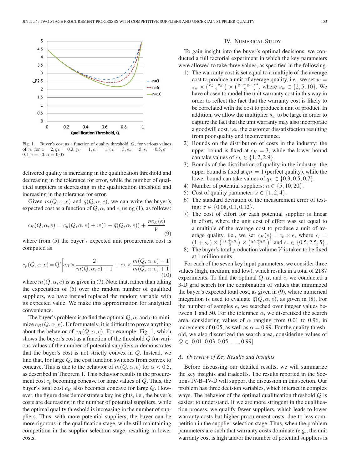

Fig. 1. Buyer's cost as a function of quality threshold, Q, for various values of n, for  $z = 2, q_L = 0.3, q_H = 1, c_L = 1, c_H = 3, s_w = 5, s_e = 0.5, \sigma =$ 0.1,  $e = 50$ ,  $\alpha = 0.05$ .

delivered quality is increasing in the qualification threshold and decreasing in the tolerance for error, while the number of qualified suppliers is decreasing in the qualification threshold and increasing in the tolerance for error.

Given  $m(Q, \alpha, e)$  and  $\bar{q}(Q, \alpha, e)$ , we can write the buyer's expected cost as a function of  $Q$ ,  $\alpha$ , and  $e$ , using (1), as follows:

$$
c_B(Q, \alpha, e) = c_p(Q, \alpha, e) + w(1 - \overline{q}(Q, \alpha, e)) + \frac{nc_E(e)}{V}
$$
(9)

where from  $(5)$  the buyer's expected unit procurement cost is computed as

$$
c_p(Q, \alpha, e) = Q^z \bigg[ c_H \times \frac{2}{m(Q, \alpha, e) + 1} + c_L \times \frac{m(Q, \alpha, e) - 1}{m(Q, \alpha, e) + 1} \bigg]
$$
\n(10)

where  $m(Q, \alpha, e)$  is as given in (7). Note that, rather than taking the expectation of (5) over the random number of qualified suppliers, we have instead replaced the random variable with its expected value. We make this approximation for analytical convenience.

The buyer's problem is to find the optimal  $Q, \alpha$ , and e to minimize  $c_B(Q, \alpha, e)$ . Unfortunately, it is difficult to prove anything about the behavior of  $c_B(Q, \alpha, e)$ . For example, Fig. 1, which shows the buyer's cost as a function of the threshold  $Q$  for various values of the number of potential suppliers  $n$  demonstrates that the buyer's cost is not strictly convex in  $Q$ . Instead, we find that, for large  $Q$ , the cost function switches from convex to concave. This is due to the behavior of  $m(Q, \alpha, e)$  for  $\alpha < 0.5$ , as described in Theorem 1. This behavior results in the procurement cost  $c_p$  becoming concave for large values of  $Q$ . Thus, the buyer's total cost  $c_B$  also becomes concave for large  $Q$ . However, the figure does demonstrate a key insights, i.e., the buyer's costs are decreasing in the number of potential suppliers, while the optimal quality threshold is increasing in the number of suppliers. Thus, with more potential suppliers, the buyer can be more rigorous in the qualification stage, while still maintaining competition in the supplier selection stage, resulting in lower costs.

#### IV. NUMERICAL STUDY

To gain insight into the buyer's optimal decisions, we conducted a full factorial experiment in which the key parameters were allowed to take three values, as specified in the following.

- 1) The warranty cost is set equal to a multiple of the average cost to produce a unit of average quality, i.e., we set  $w =$  $s_w \times \left(\frac{c_L + c_H}{2}\right) \times \left(\frac{q_L + q_H}{2}\right)^z$ , where  $s_w \in \{2, 5, 10\}$ . We have chosen to model the unit warranty cost in this way in order to reflect the fact that the warranty cost is likely to be correlated with the cost to produce a unit of product. In addition, we allow the multiplier  $s_w$  to be large in order to capture the fact that the unit warranty may also incorporate a goodwill cost, i.e., the customer dissatisfaction resulting from poor quality and inconvenience.
- 2) Bounds on the distribution of costs in the industry: the upper bound is fixed at  $c_H = 3$ , while the lower bound can take values of  $c_L \in \{1, 2, 2.9\}$ .
- 3) Bounds of the distribution of quality in the industry: the upper bound is fixed at  $q_H = 1$  (perfect quality), while the lower bound can take values of  $q_L \in \{0.3, 0.5, 0.7\}.$
- 4) Number of potential suppliers:  $n \in \{5, 10, 20\}$ .
- 5) Cost of quality parameter:  $z \in \{1, 2, 4\}$ .
- The standard deviation of the measurement error of testing:  $\sigma \in \{0.08, 0.1, 0.12\}.$
- 7) The cost of effort for each potential supplier is linear in effort, where the unit cost of effort was set equal to a multiple of the average cost to produce a unit of average quality, i.e., we set  $c_E(e) = c_e \times e$ , where  $c_e$  =  $(1 + s_e) \times (\frac{c_L + c_H}{2}) \times (\frac{q_L + q_H}{2})^2$  and  $s_e \in \{0.5, 2.5, 5\}.$
- 8) The buyer's total production volume  $V$  is taken to be fixed at 1 million units.

For each of the seven key input parameters, we consider three values (high, medium, and low), which results in a total of 2187 experiments. To find the optimal  $Q, \alpha$ , and e, we conducted a 3-D grid search for the combination of values that minimized the buyer's expected total cost, as given in (9), where numerical integration is used to evaluate  $\bar{q}(Q, \alpha, e)$ , as given in (8). For the number of samples e, we searched over integer values between 1 and 50. For the tolerance  $\alpha$ , we discretized the search area, considering values of  $\alpha$  ranging from 0.01 to 0.96, in increments of 0.05, as well as  $\alpha = 0.99$ . For the quality threshold, we also discretized the search area, considering values of  $Q \in [0.01, 0.03, 0.05, \ldots, 0.99].$ 

#### *A. Overview of Key Results and Insights*

Before discussing our detailed results, we will summarize the key insights and tradeoffs. The results reported in the Sections IV-B–IV-D will support the discussion in this section. Our problem has three decision variables, which interact in complex ways. The behavior of the optimal qualification threshold Q is easiest to understand. If we are more stringent in the qualification process, we qualify fewer suppliers, which leads to lower warranty costs but higher procurement costs, due to less competition in the supplier selection stage. Thus, when the problem parameters are such that warranty costs dominate (e.g., the unit warranty cost is high and/or the number of potential suppliers is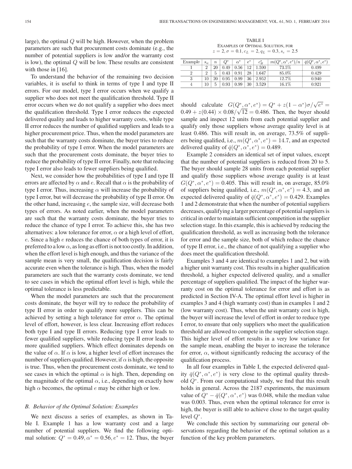large), the optimal Q will be high. However, when the problem parameters are such that procurement costs dominate (e.g., the number of potential suppliers is low and/or the warranty cost is low), the optimal Q will be low. These results are consistent with those in [16].

To understand the behavior of the remaining two decision variables, it is useful to think in terms of type I and type II errors. For our model, type I error occurs when we qualify a supplier who does not meet the qualification threshold. Type II error occurs when we do not qualify a supplier who does meet the qualification threshold. Type I error reduces the expected delivered quality and leads to higher warranty costs, while type II error reduces the number of qualified suppliers and leads to a higher procurement price. Thus, when the model parameters are such that the warranty costs dominate, the buyer tries to reduce the probability of type I error. When the model parameters are such that the procurement costs dominate, the buyer tries to reduce the probability of type II error. Finally, note that reducing type I error also leads to fewer suppliers being qualified.

Next, we consider how the probabilities of type I and type II errors are affected by  $\alpha$  and e. Recall that  $\alpha$  is the probability of type I error. Thus, increasing  $\alpha$  will increase the probability of type I error, but will decrease the probability of type II error. On the other hand, increasing e, the sample size, will decrease both types of errors. As noted earlier, when the model parameters are such that the warranty costs dominate, the buyer tries to reduce the chance of type I error. To achieve this, she has two alternatives: a low tolerance for error,  $\alpha$  or a high level of effort, e. Since a high e reduces the chance of both types of error, it is preferred to a low  $\alpha$ , as long as effort is not too costly. In addition, when the effort level is high enough, and thus the variance of the sample mean is very small, the qualification decision is fairly accurate even when the tolerance is high. Thus, when the model parameters are such that the warranty costs dominate, we tend to see cases in which the optimal effort level is high, while the optimal tolerance is less predictable.

When the model parameters are such that the procurement costs dominate, the buyer will try to reduce the probability of type II error in order to qualify more suppliers. This can be achieved by setting a high tolerance for error  $\alpha$ . The optimal level of effort, however, is less clear. Increasing effort reduces both type I and type II errors. Reducing type I error leads to fewer qualified suppliers, while reducing type II error leads to more qualified suppliers. Which effect dominates depends on the value of  $\alpha$ . If  $\alpha$  is low, a higher level of effort increases the number of suppliers qualified. However, if  $\alpha$  is high, the opposite is true. Thus, when the procurement costs dominate, we tend to see cases in which the optimal  $\alpha$  is high. Then, depending on the magnitude of the optimal  $\alpha$ , i.e., depending on exactly how high  $\alpha$  becomes, the optimal e may be either high or low.

#### *B. Behavior of the Optimal Solution: Examples*

We next discuss a series of examples, as shown in Table I. Example 1 has a low warranty cost and a large number of potential suppliers. We find the following optimal solution:  $Q^* = 0.49, \alpha^* = 0.56, e^* = 12$ . Thus, the buyer

TABLE I EXAMPLES OF OPTIMAL SOLUTION, FOR  $z = 2, \sigma = 0.1, c_L = 2, q_L = 0.3, s_e = 2.5$ 

| Example | $s_w$    | $\boldsymbol{n}$ | $Q^*$ | $\alpha^*$ | $e^*$ | $c^*_{B}$ | $m(Q^*,\alpha^*,e^*)/n$ | $\bar{q}(Q^*,\alpha^*,e^*)$ |
|---------|----------|------------------|-------|------------|-------|-----------|-------------------------|-----------------------------|
|         | $\Omega$ | 20               | 0.49  | 0.56       | 1 ດ   | .590      | 73.5%                   | 0.499                       |
|         | റ        | 5                | 0.43  | $\rm 0.91$ | 28    | 1.647     | 85.0%                   | 0.429                       |
| 3       | 10       | 20               | 0.95  | 0.99       | 36    | 2.952     | 12.7%                   | 0.940                       |
|         | 10       | 5                | 0.93  | 0.99       | 30    | 3.529     | 16.1%                   | 0.921                       |

should calculate  $G(Q^*, \alpha^*, e^*) = Q^* + z(1 - \alpha^*)\sigma/\sqrt{e^*} =$  $0.49 + z(0.44) \times 0.08/\sqrt{12} = 0.486$ . Then, the buyer should sample and inspect 12 units from each potential supplier and qualify only those suppliers whose average quality level is at least 0.486. This will result in, on average, 73.5% of suppliers being qualified, i.e.,  $m(Q^*, \alpha^*, e^*) = 14.7$ , and an expected delivered quality of  $\bar{q}(Q^*, \alpha^*, e^*) = 0.489$ .

Example 2 considers an identical set of input values, except that the number of potential suppliers is reduced from 20 to 5. The buyer should sample 28 units from each potential supplier and qualify those suppliers whose average quality is at least  $G(Q^*, \alpha^*, e^*) = 0.405$ . This will result in, on average, 85.0% of suppliers being qualified, i.e.,  $m(Q^*, \alpha^*, e^*) = 4.3$ , and an expected delivered quality of  $\bar{q}(Q^*, \alpha^*, e^*) = 0.429$ . Examples 1 and 2 demonstrate that when the number of potential suppliers decreases, qualifying a larger percentage of potential suppliers is critical in order to maintain sufficient competition in the supplier selection stage. In this example, this is achieved by reducing the qualification threshold, as well as increasing both the tolerance for error and the sample size, both of which reduce the chance of type II error, i.e., the chance of not qualifying a supplier who does meet the qualification threshold.

Examples 3 and 4 are identical to examples 1 and 2, but with a higher unit warranty cost. This results in a higher qualification threshold, a higher expected delivered quality, and a smaller percentage of suppliers qualified. The impact of the higher warranty cost on the optimal tolerance for error and effort is as predicted in Section IV-A. The optimal effort level is higher in examples 3 and 4 (high warranty cost) than in examples 1 and 2 (low warranty cost). Thus, when the unit warranty cost is high, the buyer will increase the level of effort in order to reduce type I error, to ensure that only suppliers who meet the qualification threshold are allowed to compete in the supplier selection stage. This higher level of effort results in a very low variance for the sample mean, enabling the buyer to increase the tolerance for error,  $\alpha$ , without significantly reducing the accuracy of the qualification process.

In all four examples in Table I, the expected delivered quality  $\bar{q}(Q^*, \alpha^*, e^*)$  is very close to the optimal quality threshold  $Q^*$ . From our computational study, we find that this result holds in general. Across the 2187 experiments, the maximum value of  $Q^* - \bar{q}(Q^*, \alpha^*, e^*)$  was 0.048, while the median value was 0.003. Thus, even when the optimal tolerance for error is high, the buyer is still able to achieve close to the target quality level  $Q^*$ .

We conclude this section by summarizing our general observations regarding the behavior of the optimal solution as a function of the key problem parameters.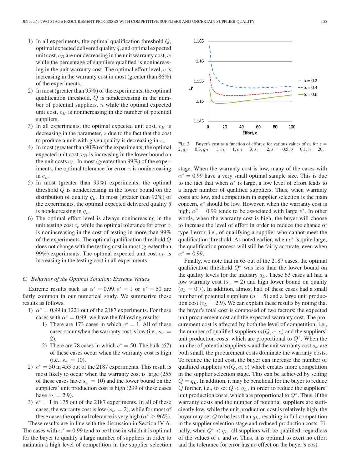- 1) In all experiments, the optimal qualification threshold  $Q$ , optimal expected delivered quality  $\bar{q}$ , and optimal expected unit cost,  $c_B$  are nondecreasing in the unit warranty cost,  $w$ while the percentage of suppliers qualified is nonincreasing in the unit warranty cost. The optimal effort level,  $e$  is increasing in the warranty cost in most (greater than 86%) of the experiments.
- 2) In most (greater than 95%) of the experiments, the optimal qualification threshold,  $Q$  is nondecreasing in the number of potential suppliers,  $n$  while the optimal expected unit cost,  $c_B$  is nonincreasing in the number of potential suppliers.
- 3) In all experiments, the optimal expected unit cost,  $c_B$  is decreasing in the parameter, z due to the fact that the cost to produce a unit with given quality is decreasing in  $z$ .
- 4) In most (greater than 90%) of the experiments, the optimal expected unit cost,  $c_B$  is increasing in the lower bound on the unit costs  $c_L$ . In most (greater than 99%) of the experiments, the optimal tolerance for error  $\alpha$  is nonincreasing in  $c_L$ .
- 5) In most (greater than 99%) experiments, the optimal threshold  $Q$  is nondecreasing in the lower bound on the distribution of quality  $q_L$ . In most (greater than 92%) of the experiments, the optimal expected delivered quality  $\bar{q}$ is nondecreasing in  $q_L$ .
- 6) The optimal effort level is always nonincreasing in the unit testing cost  $c_e$  while the optimal tolerance for error  $\alpha$ is nonincreasing in the cost of testing in more than 99% of the experiments. The optimal qualification threshold  $Q$ does not change with the testing cost in most (greater than 99%) experiments. The optimal expected unit cost  $c_B$  is increasing in the testing cost in all experiments.

#### *C. Behavior of the Optimal Solution: Extreme Values*

Extreme results such as  $\alpha^* = 0.99$ ,  $e^* = 1$  or  $e^* = 50$  are fairly common in our numerical study. We summarize these results as follows.

- 1)  $\alpha^* = 0.99$  in 1221 out of the 2187 experiments. For these cases with  $\alpha^* = 0.99$ , we have the following results:
	- 1) There are 173 cases in which  $e^* = 1$ . All of these cases occur when the warranty cost is low (i.e.,  $s_w =$ 2).
	- 2) There are 78 cases in which  $e^* = 50$ . The bulk (67) of these cases occur when the warranty cost is high (i.e.,  $s_w = 10$ ).
- 2)  $e^* = 50$  in 453 out of the 2187 experiments. This result is most likely to occur when the warranty cost is large (255 of these cases have  $s_w = 10$ ) and the lower bound on the suppliers' unit production cost is high (299 of these cases have  $c_L = 2.9$ ).
- 3)  $e^* = 1$  in 175 out of the 2187 experiments. In all of these cases, the warranty cost is low ( $s_w = 2$ ), while for most of these cases the optimal tolerance is very high ( $\alpha^* \geq 96\%$ ).

These results are in line with the discussion in Section IV-A. The cases with  $\alpha^* = 0.99$  tend to be those in which it is optimal for the buyer to qualify a large number of suppliers in order to maintain a high level of competition in the supplier selection



Fig. 2. Buyer's cost as a function of effort e for various values of  $\alpha$ , for  $z =$  $2, q_L = 0.3, q_H = 1, c_L = 1, c_H = 3, s_w = 2, s_e = 0.5, \sigma = 0.1, n = 20.$ 

stage. When the warranty cost is low, many of the cases with  $\alpha^* = 0.99$  have a very small optimal sample size. This is due to the fact that when  $\alpha^*$  is large, a low level of effort leads to a larger number of qualified suppliers. Thus, when warranty costs are low, and competition in supplier selection is the main concern,  $e^*$  should be low. However, when the warranty cost is high,  $\alpha^* = 0.99$  tends to be associated with large  $e^*$ . In other words, when the warranty cost is high, the buyer will choose to increase the level of effort in order to reduce the chance of type I error, i.e., of qualifying a supplier who cannot meet the qualification threshold. As noted earlier, when  $e^*$  is quite large, the qualification process will still be fairly accurate, even when  $\alpha^* = 0.99$ .

Finally, we note that in 63 out of the 2187 cases, the optimal qualification threshold  $Q^*$  was less than the lower bound on the quality levels for the industry  $q_L$ . These 63 cases all had a low warranty cost ( $s_w = 2$ ) and high lower bound on quality  $(q_L = 0.7)$ . In addition, almost half of these cases had a small number of potential suppliers ( $n = 5$ ) and a large unit production cost ( $c<sub>L</sub> = 2.9$ ). We can explain these results by noting that the buyer's total cost is composed of two factors: the expected unit procurement cost and the expected warranty cost. The procurement cost is affected by both the level of competition, i.e., the number of qualified suppliers  $m(Q, \alpha, e)$  and the suppliers' unit production costs, which are proportional to  $Q^z$ . When the number of potential suppliers  $n$  and the unit warranty cost  $s_w$  are both small, the procurement costs dominate the warranty costs. To reduce the total cost, the buyer can increase the number of qualified suppliers  $m(Q, \alpha, e)$  which creates more competition in the supplier selection stage. This can be achieved by setting  $Q = q<sub>L</sub>$ . In addition, it may be beneficial for the buyer to reduce Q further, i.e., to set  $Q < q_L$ , in order to reduce the suppliers' unit production costs, which are proportional to  $Q^z$ . Thus, if the warranty costs and the number of potential suppliers are sufficiently low, while the unit production cost is relatively high, the buyer may set  $Q$  to be less than  $q_L$ , resulting in full competition in the supplier selection stage and reduced production costs. Finally, when  $Q^* < q_L$ , all suppliers will be qualified, regardless of the values of  $e$  and  $\alpha$ . Thus, it is optimal to exert no effort and the tolerance for error has no effect on the buyer's cost.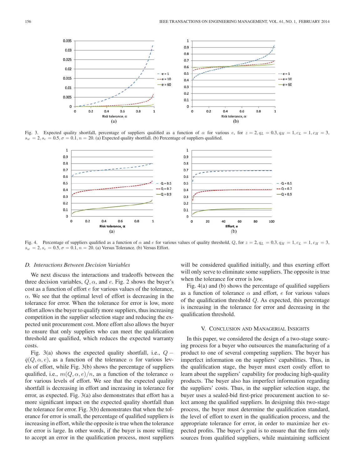

Fig. 3. Expected quality shortfall, percentage of suppliers qualified as a function of  $\alpha$  for various e, for  $z = 2, q_L = 0.3, q_H = 1, c_L = 1, c_H = 3$ ,  $s_w = 2$ ,  $s_e = 0.5$ ,  $\sigma = 0.1$ ,  $n = 20$ . (a) Expected quality shortfall. (b) Percentage of suppliers qualified.



Fig. 4. Percentage of suppliers qualified as a function of  $\alpha$  and  $\epsilon$  for various values of quality threshold, Q, for  $z = 2$ ,  $q_L = 0.3$ ,  $q_H = 1$ ,  $c_L = 1$ ,  $c_R = 3$ ,  $s_n = 2$ ,  $s_e = 0.5$ ,  $\sigma = 0.1$ ,  $n = 20$ . (a) Versus Tolerance. (b) Versus Effort.

#### *D. Interactions Between Decision Variables*

We next discuss the interactions and tradeoffs between the three decision variables,  $Q, \alpha$ , and e. Fig. 2 shows the buyer's cost as a function of effort e for various values of the tolerance,  $\alpha$ . We see that the optimal level of effort is decreasing in the tolerance for error. When the tolerance for error is low, more effort allows the buyer to qualify more suppliers, thus increasing competition in the supplier selection stage and reducing the expected unit procurement cost. More effort also allows the buyer to ensure that only suppliers who can meet the qualification threshold are qualified, which reduces the expected warranty costs.

Fig. 3(a) shows the expected quality shortfall, i.e.,  $Q \bar{q}(Q, \alpha, e)$ , as a function of the tolerance  $\alpha$  for various levels of effort, while Fig. 3(b) shows the percentage of suppliers qualified, i.e.,  $m(Q, \alpha, e)/n$ , as a function of the tolerance  $\alpha$ for various levels of effort. We see that the expected quality shortfall is decreasing in effort and increasing in tolerance for error, as expected. Fig. 3(a) also demonstrates that effort has a more significant impact on the expected quality shortfall than the tolerance for error. Fig. 3(b) demonstrates that when the tolerance for error is small, the percentage of qualified suppliers is increasing in effort, while the opposite is true when the tolerance for error is large. In other words, if the buyer is more willing to accept an error in the qualification process, most suppliers will be considered qualified initially, and thus exerting effort will only serve to eliminate some suppliers. The opposite is true when the tolerance for error is low.

Fig. 4(a) and (b) shows the percentage of qualified suppliers as a function of tolerance  $\alpha$  and effort, e for various values of the qualification threshold Q. As expected, this percentage is increasing in the tolerance for error and decreasing in the qualification threshold.

# V. CONCLUSION AND MANAGERIAL INSIGHTS

In this paper, we considered the design of a two-stage sourcing process for a buyer who outsources the manufacturing of a product to one of several competing suppliers. The buyer has imperfect information on the suppliers' capabilities. Thus, in the qualification stage, the buyer must exert costly effort to learn about the suppliers' capability for producing high-quality products. The buyer also has imperfect information regarding the suppliers' costs. Thus, in the supplier selection stage, the buyer uses a sealed-bid first-price procurement auction to select among the qualified suppliers. In designing this two-stage process, the buyer must determine the qualification standard, the level of effort to exert in the qualification process, and the appropriate tolerance for error, in order to maximize her expected profits. The buyer's goal is to ensure that the firm only sources from qualified suppliers, while maintaining sufficient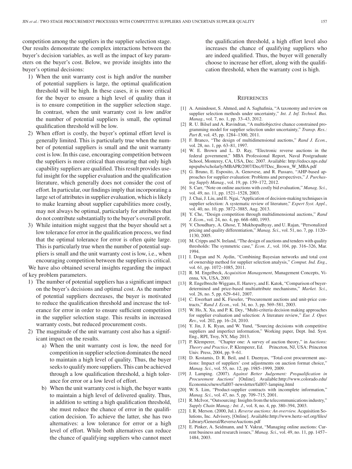competition among the suppliers in the supplier selection stage. Our results demonstrate the complex interactions between the buyer's decision variables, as well as the impact of key parameters on the buyer's cost. Below, we provide insights into the buyer's optimal decisions:

- 1) When the unit warranty cost is high and/or the number of potential suppliers is large, the optimal qualification threshold will be high. In these cases, it is more critical for the buyer to ensure a high level of quality than it is to ensure competition in the supplier selection stage. In contrast, when the unit warranty cost is low and/or the number of potential suppliers is small, the optimal qualification threshold will be low.
- 2) When effort is costly, the buyer's optimal effort level is generally limited. This is particularly true when the number of potential suppliers is small and the unit warranty cost is low. In this case, encouraging competition between the suppliers is more critical than ensuring that only high capability suppliers are qualified. This result provides useful insight for the supplier evaluation and the qualification literature, which generally does not consider the cost of effort. In particular, our findings imply that incorporating a large set of attributes in supplier evaluation, which is likely to make learning about supplier capabilities more costly, may not always be optimal, particularly for attributes that do not contribute substantially to the buyer's overall profit.
- 3) While intuition might suggest that the buyer should set a low tolerance for error in the qualification process, we find that the optimal tolerance for error is often quite large. This is particularly true when the number of potential suppliers is small and the unit warranty cost is low, i.e., when encouraging competition between the suppliers is critical. We have also obtained several insights regarding the impact

of key problem parameters.

- 1) The number of potential suppliers has a significant impact on the buyer's decisions and optimal cost. As the number of potential suppliers decreases, the buyer is motivated to reduce the qualification threshold and increase the tolerance for error in order to ensure sufficient competition in the supplier selection stage. This results in increased warranty costs, but reduced procurement costs.
- 2) The magnitude of the unit warranty cost also has a significant impact on the results.
	- a) When the unit warranty cost is low, the need for competition in supplier selection dominates the need to maintain a high level of quality. Thus, the buyer seeks to qualify more suppliers. This can be achieved through a low qualification threshold, a high tolerance for error or a low level of effort.
	- b) When the unit warranty cost is high, the buyer wants to maintain a high level of delivered quality. Thus, in addition to setting a high qualification threshold, she must reduce the chance of error in the qualification decision. To achieve the latter, she has two alternatives: a low tolerance for error or a high level of effort. While both alternatives can reduce the chance of qualifying suppliers who cannot meet

the qualification threshold, a high effort level also increases the chance of qualifying suppliers who are indeed qualified. Thus, the buyer will generally choose to increase her effort, along with the qualification threshold, when the warranty cost is high.

#### **REFERENCES**

- [1] A. Amindoust, S. Ahmed, and A. Saghafinia, "A taxonomy and review on supplier selection methods under uncertainty," *Int. J. Inf. Technol. Bus. Manag.*, vol. 7, no. 1, pp. 33–43, 2012.
- [2] R. U. Bilsel and A. Ravindran, "A multiobjective chance constrained programming model for supplier selection under uncertainty," *Transp. Res.: Part B*, vol. 45, pp. 1284–1300, 2011.
- [3] F. Branco, "The design of multidimensional auctions," *Rand J. Econ.*, vol. 28, no. 1, pp. 63–81, 1997.
- [4] W. E. Brown and L. D. Ray, "Electronic reverse auctions in the federal government," MBA Professional Report, Naval Postgraduate School, Monterey, CA, USA, Dec. 2007. Available: http://edocs.nps.edu/ npspubs/scholarly/MBAPR/2007/Dec/07Dec\_Brown\_W\_MBA.pdf
- [5] G. Bruno, E. Esposito, A. Genovese, and R. Passaro, "AHP-based approaches for supplier evaluation: Problems and perspectives," *J. Purchasing Supply Manag.*, vol. 19, pp. 159–172, 2012.
- [6] S. Carr, "Note on online auctions with costly bid evaluation," *Manag. Sci.*, vol. 49, no. 11, pp. 1521–1528, 2003.
- [7] J. Chai, J. Liu, and E. Ngai, "Application of decision-making techniques in supplier selection: A systematic review of literature," *Expert Syst. Appl.*, vol. 40, no. 10, pp. 3872–3885, Aug. 2013.
- [8] Y. Che, "Design competition through multidimensional auctions," *Rand J. Econ.*, vol. 24, no. 4, pp. 668–680, 1993.
- [9] V. Choudhary, A. Ghose, T. Mukhopadhyay, and U. Rajan, "Personalized pricing and quality differentiation," *Manag. Sci.*, vol. 51, no. 7, pp. 1120– 1130, 2005.
- [10] M. Cripps and N. Ireland, "The design of auctions and tenders with quality thresholds: The symmetric case," *Econ. J.*, vol. 104, pp. 316–326, Mar. 1994.
- [11] I. Dogan and N. Aydin, "Combining Bayesian networks and total cost of ownership method for supplier selection analysis," *Comput. Ind. Eng.*, vol. 61, pp. 1072–1085, 2011.
- [12] R. M. Engelbeck, *Acquisition Management*, Management Concepts, Vienna, VA, USA, 2001
- [13] R. Engelbrecht-Wiggans, E. Haruvy, and E. Katok, "Comparison of buyerdetermined and price-based multiattribute mechanisms," *Market. Sci.*, vol. 26, no. 5, pp. 629–641, 2007.
- [14] C. Ewerhart and K. Fieseler, "Procurement auctions and unit-price contracts," *Rand J. Econ.*, vol. 34, no. 3, pp. 569–581, 2003.
- [15] W. Ho, X. Xu, and P. K. Dey, "Multi-criteria decision making approaches for supplier evaluation and selection: A literature review," *Eur. J. Oper. Rev.*, vol. 202, pp. 16–24, 2010.
- [16] Y. Jin, J. K. Ryan, and W. Yund, "Sourcing decisions with competitive suppliers and imperfect information," Working paper, Dept. Ind. Syst. Eng., RPI, Troy, NY, May 2013.
- [17] P. Klemperer, "Chapter one: A survey of auction theory," in *Auctions: Theory and Practice*, P. Klemperer, Ed. Princeton, NJ, USA: Princeton Univ. Press, 2004, pp. 9–61.
- [18] D. Kostamis, D. R. Beil, and I. Duenyas, "Total-cost procurement auctions: Impact of suppliers' cost adjustments on auction format choice," *Manag. Sci.*, vol. 55, no. 12, pp. 1985–1999, 2009.
- [19] J. Lamping. (2007). *Against Better Judgement: Prequalification in Procurement Auctions*' [Online]. Available:http://www.colorado.edu/ Economics/news/fall07-newsletter/fall07-lamping.html
- [20] W. S. Lim, "Product-supplier contracts with incomplete information," *Manag. Sci.*, vol. 47, no. 5, pp. 709–715, 2001.
- [21] R. McIvor, "Outsourcing: Insights from the telecommunications industry," *Supply Chain Manag.: Int. J.*, vol. 8, no. 4, pp. 380–394, 2003.
- [22] I. R. Merson. (2000, Jul.). *Reverse auctions: An overview.* Acquisition Solutions, Inc. Advisory, [Online]. Available:http://www.hertz-sef.org/files/ Library/General/ReverseAuctions.pdf
- [23] E. Pinker, A. Seidmann, and Y. Vakrat, "Managing online auctions: Current business and research issues," *Manag. Sci.*, vol. 49, no. 11, pp. 1457– 1484, 2003.